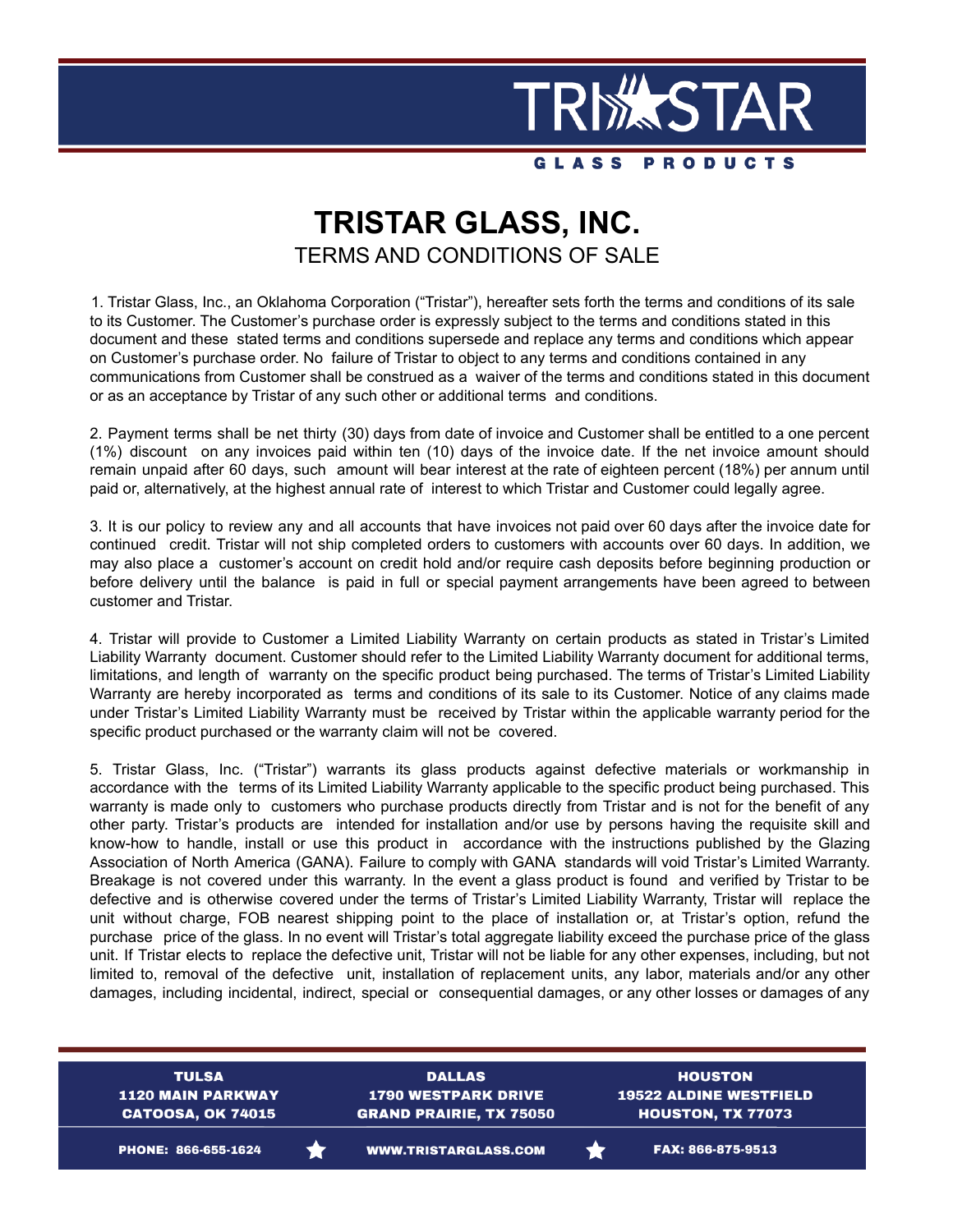

## **TRISTAR GLASS, INC.** TERMS AND CONDITIONS OF SALE

1. Tristar Glass, Inc., an Oklahoma Corporation ("Tristar"), hereafter sets forth the terms and conditions of its sale to its Customer. The Customer's purchase order is expressly subject to the terms and conditions stated in this document and these stated terms and conditions supersede and replace any terms and conditions which appear on Customer's purchase order. No failure of Tristar to object to any terms and conditions contained in any communications from Customer shall be construed as a waiver of the terms and conditions stated in this document or as an acceptance by Tristar of any such other or additional terms and conditions.

2. Payment terms shall be net thirty (30) days from date of invoice and Customer shall be entitled to a one percent (1%) discount on any invoices paid within ten (10) days of the invoice date. If the net invoice amount should remain unpaid after 60 days, such amount will bear interest at the rate of eighteen percent (18%) per annum until paid or, alternatively, at the highest annual rate of interest to which Tristar and Customer could legally agree.

3. It is our policy to review any and all accounts that have invoices not paid over 60 days after the invoice date for continued credit. Tristar will not ship completed orders to customers with accounts over 60 days. In addition, we may also place a customer's account on credit hold and/or require cash deposits before beginning production or before delivery until the balance is paid in full or special payment arrangements have been agreed to between customer and Tristar.

4. Tristar will provide to Customer a Limited Liability Warranty on certain products as stated in Tristar's Limited Liability Warranty document. Customer should refer to the Limited Liability Warranty document for additional terms, limitations, and length of warranty on the specific product being purchased. The terms of Tristar's Limited Liability Warranty are hereby incorporated as terms and conditions of its sale to its Customer. Notice of any claims made under Tristar's Limited Liability Warranty must be received by Tristar within the applicable warranty period for the specific product purchased or the warranty claim will not be covered.

5. Tristar Glass, Inc. ("Tristar") warrants its glass products against defective materials or workmanship in accordance with the terms of its Limited Liability Warranty applicable to the specific product being purchased. This warranty is made only to customers who purchase products directly from Tristar and is not for the benefit of any other party. Tristar's products are intended for installation and/or use by persons having the requisite skill and know-how to handle, install or use this product in accordance with the instructions published by the Glazing Association of North America (GANA). Failure to comply with GANA standards will void Tristar's Limited Warranty. Breakage is not covered under this warranty. In the event a glass product is found and verified by Tristar to be defective and is otherwise covered under the terms of Tristar's Limited Liability Warranty, Tristar will replace the unit without charge, FOB nearest shipping point to the place of installation or, at Tristar's option, refund the purchase price of the glass. In no event will Tristar's total aggregate liability exceed the purchase price of the glass unit. If Tristar elects to replace the defective unit, Tristar will not be liable for any other expenses, including, but not limited to, removal of the defective unit, installation of replacement units, any labor, materials and/or any other damages, including incidental, indirect, special or consequential damages, or any other losses or damages of any

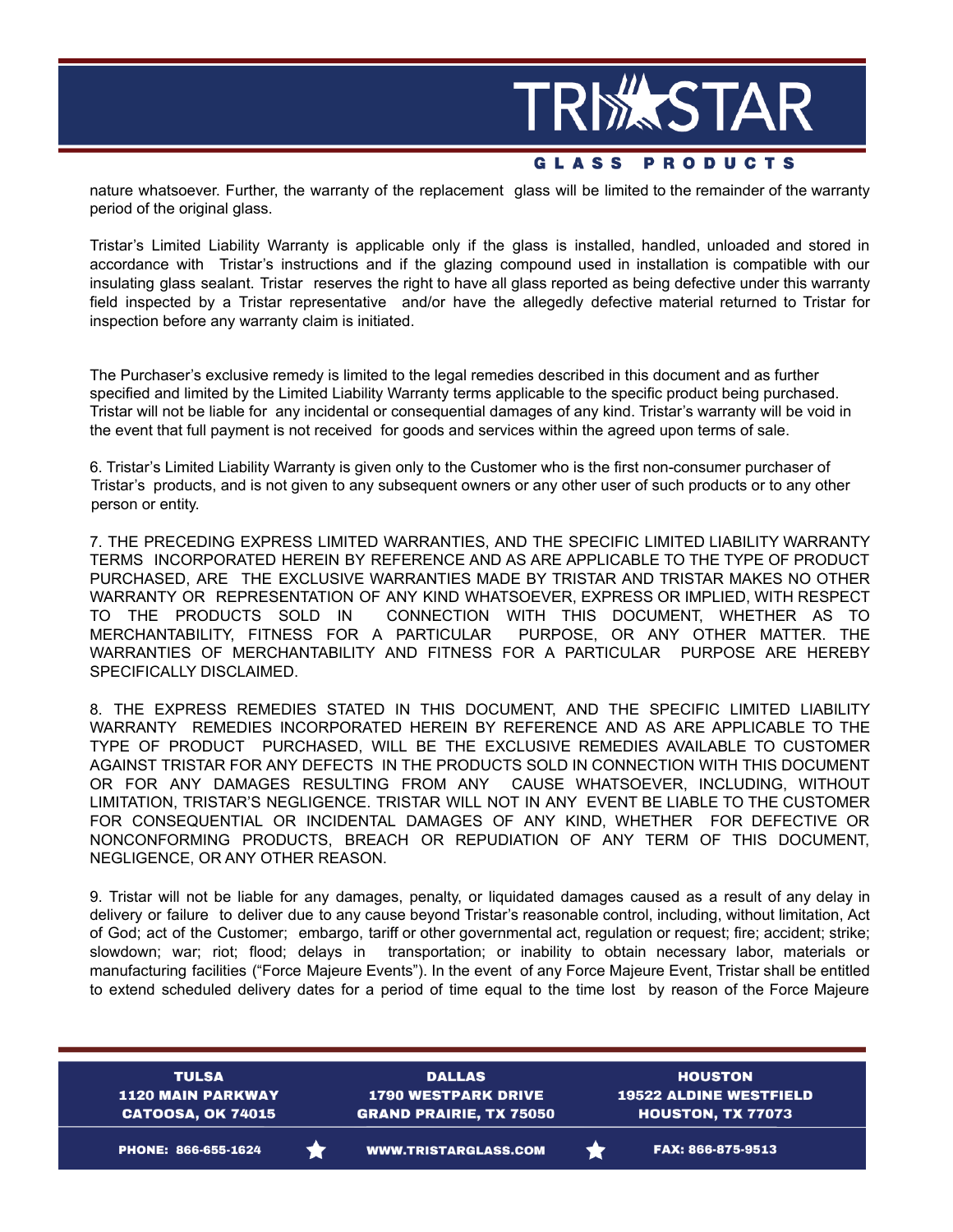

nature whatsoever. Further, the warranty of the replacement glass will be limited to the remainder of the warranty period of the original glass.

Tristar's Limited Liability Warranty is applicable only if the glass is installed, handled, unloaded and stored in accordance with Tristar's instructions and if the glazing compound used in installation is compatible with our insulating glass sealant. Tristar reserves the right to have all glass reported as being defective under this warranty field inspected by a Tristar representative and/or have the allegedly defective material returned to Tristar for inspection before any warranty claim is initiated.

The Purchaser's exclusive remedy is limited to the legal remedies described in this document and as further specified and limited by the Limited Liability Warranty terms applicable to the specific product being purchased. Tristar will not be liable for any incidental or consequential damages of any kind. Tristar's warranty will be void in the event that full payment is not received for goods and services within the agreed upon terms of sale.

6. Tristar's Limited Liability Warranty is given only to the Customer who is the first non-consumer purchaser of Tristar's products, and is not given to any subsequent owners or any other user of such products or to any other person or entity.

7. THE PRECEDING EXPRESS LIMITED WARRANTIES, AND THE SPECIFIC LIMITED LIABILITY WARRANTY TERMS INCORPORATED HEREIN BY REFERENCE AND AS ARE APPLICABLE TO THE TYPE OF PRODUCT PURCHASED, ARE THE EXCLUSIVE WARRANTIES MADE BY TRISTAR AND TRISTAR MAKES NO OTHER WARRANTY OR REPRESENTATION OF ANY KIND WHATSOEVER, EXPRESS OR IMPLIED, WITH RESPECT TO THE PRODUCTS SOLD IN CONNECTION WITH THIS DOCUMENT, WHETHER AS TO MERCHANTABILITY, FITNESS FOR A PARTICULAR PURPOSE, OR ANY OTHER MATTER. THE WARRANTIES OF MERCHANTABILITY AND FITNESS FOR A PARTICULAR PURPOSE ARE HEREBY SPECIFICALLY DISCLAIMED.

8. THE EXPRESS REMEDIES STATED IN THIS DOCUMENT, AND THE SPECIFIC LIMITED LIABILITY WARRANTY REMEDIES INCORPORATED HEREIN BY REFERENCE AND AS ARE APPLICABLE TO THE TYPE OF PRODUCT PURCHASED, WILL BE THE EXCLUSIVE REMEDIES AVAILABLE TO CUSTOMER AGAINST TRISTAR FOR ANY DEFECTS IN THE PRODUCTS SOLD IN CONNECTION WITH THIS DOCUMENT OR FOR ANY DAMAGES RESULTING FROM ANY CAUSE WHATSOEVER, INCLUDING, WITHOUT LIMITATION, TRISTAR'S NEGLIGENCE. TRISTAR WILL NOT IN ANY EVENT BE LIABLE TO THE CUSTOMER FOR CONSEQUENTIAL OR INCIDENTAL DAMAGES OF ANY KIND, WHETHER FOR DEFECTIVE OR NONCONFORMING PRODUCTS, BREACH OR REPUDIATION OF ANY TERM OF THIS DOCUMENT, NEGLIGENCE, OR ANY OTHER REASON.

9. Tristar will not be liable for any damages, penalty, or liquidated damages caused as a result of any delay in delivery or failure to deliver due to any cause beyond Tristar's reasonable control, including, without limitation, Act of God; act of the Customer; embargo, tariff or other governmental act, regulation or request; fire; accident; strike; slowdown; war; riot; flood; delays in transportation; or inability to obtain necessary labor, materials or manufacturing facilities ("Force Majeure Events"). In the event of any Force Majeure Event, Tristar shall be entitled to extend scheduled delivery dates for a period of time equal to the time lost by reason of the Force Majeure